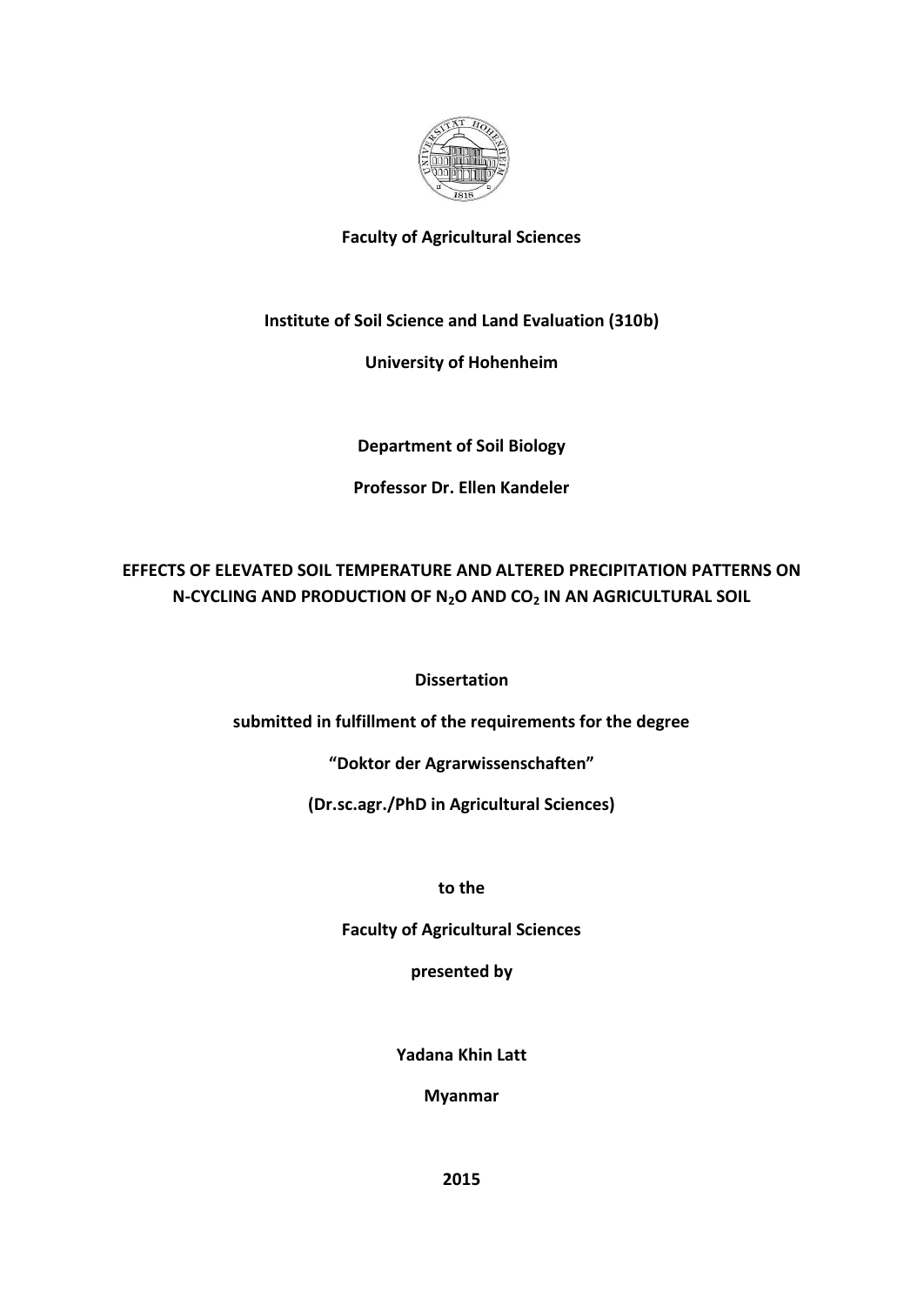

# **Faculty of Agricultural Sciences**

# **Institute of Soil Science and Land Evaluation (310b)**

## **University of Hohenheim**

**Department of Soil Biology**

## **Professor Dr. Ellen Kandeler**

# **EFFECTS OF ELEVATED SOIL TEMPERATURE AND ALTERED PRECIPITATION PATTERNS ON N-CYCLING AND PRODUCTION OF N2O AND CO<sup>2</sup> IN AN AGRICULTURAL SOIL**

## **Dissertation**

**submitted in fulfillment of the requirements for the degree**

**"Doktor der Agrarwissenschaften"**

**(Dr.sc.agr./PhD in Agricultural Sciences)**

**to the**

**Faculty of Agricultural Sciences**

**presented by**

**Yadana Khin Latt**

**Myanmar**

**2015**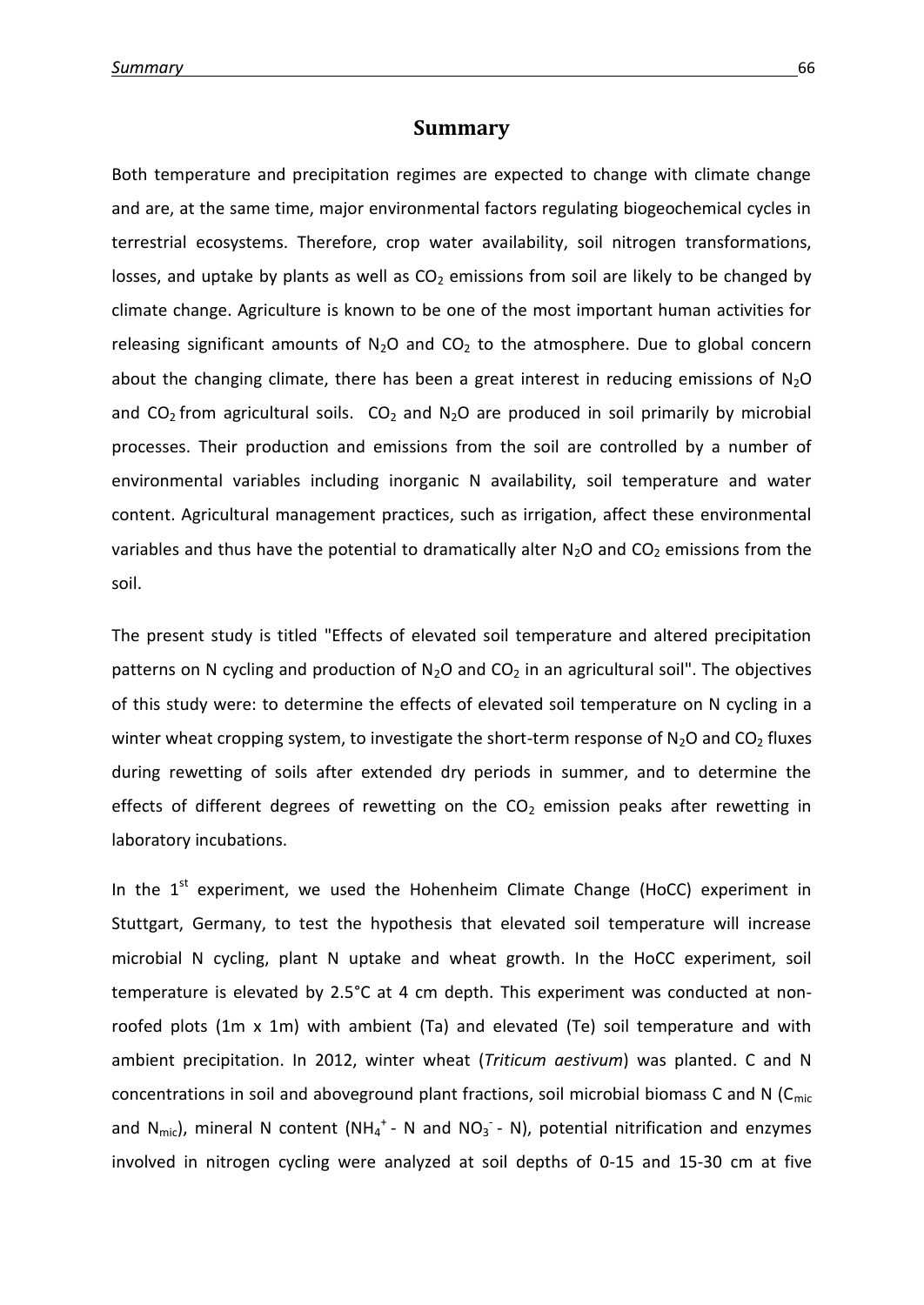#### **Summary**

Both temperature and precipitation regimes are expected to change with climate change and are, at the same time, major environmental factors regulating biogeochemical cycles in terrestrial ecosystems. Therefore, crop water availability, soil nitrogen transformations, losses, and uptake by plants as well as  $CO<sub>2</sub>$  emissions from soil are likely to be changed by climate change. Agriculture is known to be one of the most important human activities for releasing significant amounts of  $N_2O$  and  $CO_2$  to the atmosphere. Due to global concern about the changing climate, there has been a great interest in reducing emissions of  $N_2O$ and  $CO<sub>2</sub>$  from agricultural soils.  $CO<sub>2</sub>$  and N<sub>2</sub>O are produced in soil primarily by microbial processes. Their production and emissions from the soil are controlled by a number of environmental variables including inorganic N availability, soil temperature and water content. Agricultural management practices, such as irrigation, affect these environmental variables and thus have the potential to dramatically alter  $N_2O$  and  $CO_2$  emissions from the soil.

The present study is titled "Effects of elevated soil temperature and altered precipitation patterns on N cycling and production of  $N_2O$  and  $CO_2$  in an agricultural soil". The objectives of this study were: to determine the effects of elevated soil temperature on N cycling in a winter wheat cropping system, to investigate the short-term response of  $N_2O$  and  $CO_2$  fluxes during rewetting of soils after extended dry periods in summer, and to determine the effects of different degrees of rewetting on the  $CO<sub>2</sub>$  emission peaks after rewetting in laboratory incubations.

In the  $1<sup>st</sup>$  experiment, we used the Hohenheim Climate Change (HoCC) experiment in Stuttgart, Germany, to test the hypothesis that elevated soil temperature will increase microbial N cycling, plant N uptake and wheat growth. In the HoCC experiment, soil temperature is elevated by 2.5°C at 4 cm depth. This experiment was conducted at nonroofed plots (1m x 1m) with ambient (Ta) and elevated (Te) soil temperature and with ambient precipitation. In 2012, winter wheat (*Triticum aestivum*) was planted. C and N concentrations in soil and aboveground plant fractions, soil microbial biomass C and N ( $C_{\text{mic}}$ and  $N_{\text{mic}}$ ), mineral N content (NH<sub>4</sub><sup>+</sup> - N and NO<sub>3</sub><sup>-</sup> - N), potential nitrification and enzymes involved in nitrogen cycling were analyzed at soil depths of 0-15 and 15-30 cm at five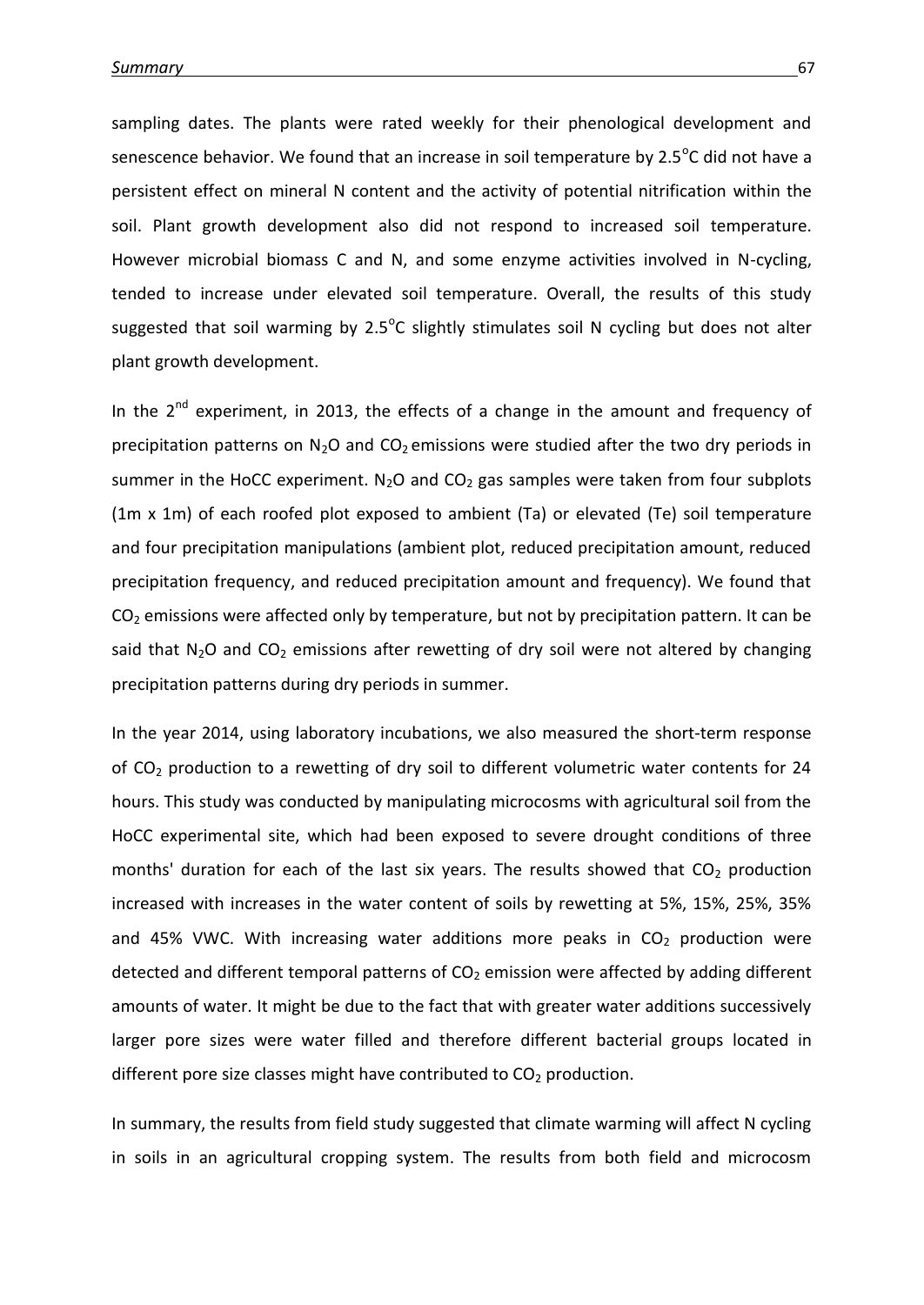sampling dates. The plants were rated weekly for their phenological development and senescence behavior. We found that an increase in soil temperature by 2.5 $\mathrm{^oC}$  did not have a persistent effect on mineral N content and the activity of potential nitrification within the soil. Plant growth development also did not respond to increased soil temperature. However microbial biomass C and N, and some enzyme activities involved in N-cycling, tended to increase under elevated soil temperature. Overall, the results of this study suggested that soil warming by  $2.5^{\circ}$ C slightly stimulates soil N cycling but does not alter plant growth development.

In the  $2^{nd}$  experiment, in 2013, the effects of a change in the amount and frequency of precipitation patterns on  $N_2O$  and  $CO_2$  emissions were studied after the two dry periods in summer in the HoCC experiment.  $N_2O$  and  $CO_2$  gas samples were taken from four subplots (1m x 1m) of each roofed plot exposed to ambient (Ta) or elevated (Te) soil temperature and four precipitation manipulations (ambient plot, reduced precipitation amount, reduced precipitation frequency, and reduced precipitation amount and frequency). We found that CO<sub>2</sub> emissions were affected only by temperature, but not by precipitation pattern. It can be said that  $N_2O$  and  $CO_2$  emissions after rewetting of dry soil were not altered by changing precipitation patterns during dry periods in summer.

In the year 2014, using laboratory incubations, we also measured the short-term response of CO<sup>2</sup> production to a rewetting of dry soil to different volumetric water contents for 24 hours. This study was conducted by manipulating microcosms with agricultural soil from the HoCC experimental site, which had been exposed to severe drought conditions of three months' duration for each of the last six years. The results showed that  $CO<sub>2</sub>$  production increased with increases in the water content of soils by rewetting at 5%, 15%, 25%, 35% and 45% VWC. With increasing water additions more peaks in  $CO<sub>2</sub>$  production were detected and different temporal patterns of  $CO<sub>2</sub>$  emission were affected by adding different amounts of water. It might be due to the fact that with greater water additions successively larger pore sizes were water filled and therefore different bacterial groups located in different pore size classes might have contributed to  $CO<sub>2</sub>$  production.

In summary, the results from field study suggested that climate warming will affect N cycling in soils in an agricultural cropping system. The results from both field and microcosm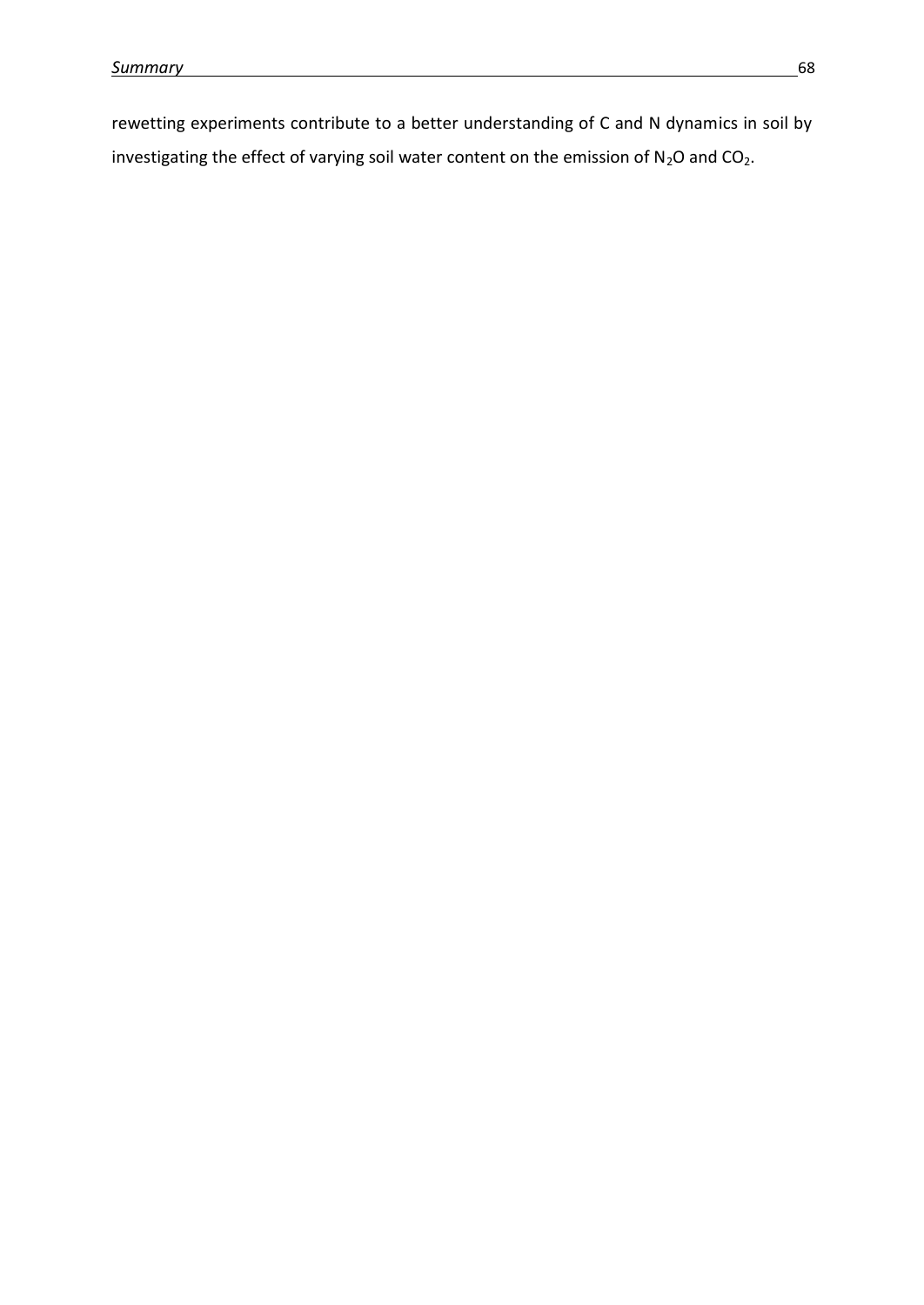rewetting experiments contribute to a better understanding of C and N dynamics in soil by investigating the effect of varying soil water content on the emission of  $N_2O$  and  $CO_2$ .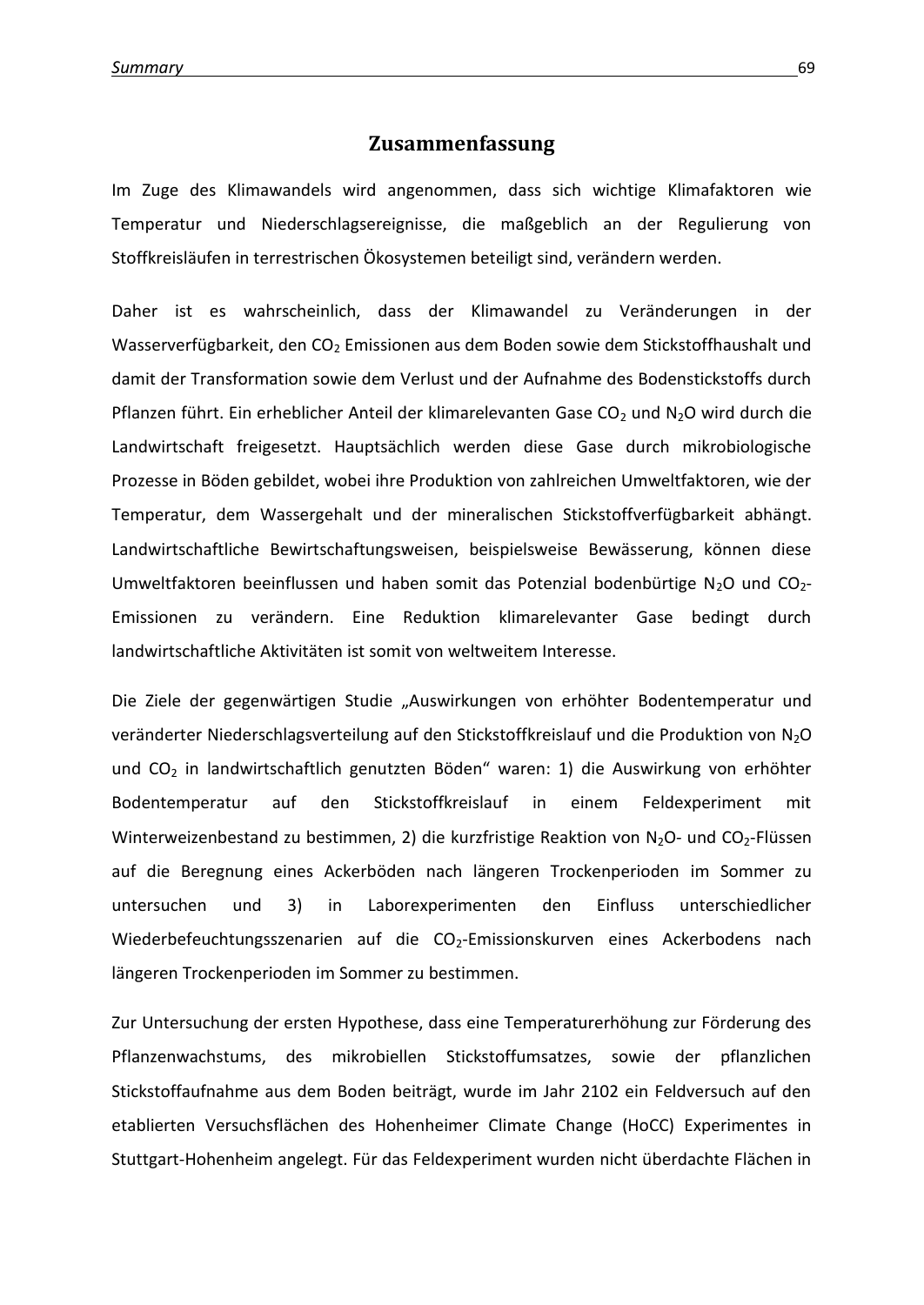### **Zusammenfassung**

Im Zuge des Klimawandels wird angenommen, dass sich wichtige Klimafaktoren wie Temperatur und Niederschlagsereignisse, die maßgeblich an der Regulierung von Stoffkreisläufen in terrestrischen Ökosystemen beteiligt sind, verändern werden.

Daher ist es wahrscheinlich, dass der Klimawandel zu Veränderungen in der Wasserverfügbarkeit, den CO<sub>2</sub> Emissionen aus dem Boden sowie dem Stickstoffhaushalt und damit der Transformation sowie dem Verlust und der Aufnahme des Bodenstickstoffs durch Pflanzen führt. Ein erheblicher Anteil der klimarelevanten Gase CO<sub>2</sub> und N<sub>2</sub>O wird durch die Landwirtschaft freigesetzt. Hauptsächlich werden diese Gase durch mikrobiologische Prozesse in Böden gebildet, wobei ihre Produktion von zahlreichen Umweltfaktoren, wie der Temperatur, dem Wassergehalt und der mineralischen Stickstoffverfügbarkeit abhängt. Landwirtschaftliche Bewirtschaftungsweisen, beispielsweise Bewässerung, können diese Umweltfaktoren beeinflussen und haben somit das Potenzial bodenbürtige N<sub>2</sub>O und CO<sub>2</sub>-Emissionen zu verändern. Eine Reduktion klimarelevanter Gase bedingt durch landwirtschaftliche Aktivitäten ist somit von weltweitem Interesse.

Die Ziele der gegenwärtigen Studie "Auswirkungen von erhöhter Bodentemperatur und veränderter Niederschlagsverteilung auf den Stickstoffkreislauf und die Produktion von N2O und CO<sub>2</sub> in landwirtschaftlich genutzten Böden" waren: 1) die Auswirkung von erhöhter Bodentemperatur auf den Stickstoffkreislauf in einem Feldexperiment mit Winterweizenbestand zu bestimmen, 2) die kurzfristige Reaktion von N<sub>2</sub>O- und CO<sub>2</sub>-Flüssen auf die Beregnung eines Ackerböden nach längeren Trockenperioden im Sommer zu untersuchen und 3) in Laborexperimenten den Einfluss unterschiedlicher Wiederbefeuchtungsszenarien auf die CO<sub>2</sub>-Emissionskurven eines Ackerbodens nach längeren Trockenperioden im Sommer zu bestimmen.

Zur Untersuchung der ersten Hypothese, dass eine Temperaturerhöhung zur Förderung des Pflanzenwachstums, des mikrobiellen Stickstoffumsatzes, sowie der pflanzlichen Stickstoffaufnahme aus dem Boden beiträgt, wurde im Jahr 2102 ein Feldversuch auf den etablierten Versuchsflächen des Hohenheimer Climate Change (HoCC) Experimentes in Stuttgart-Hohenheim angelegt. Für das Feldexperiment wurden nicht überdachte Flächen in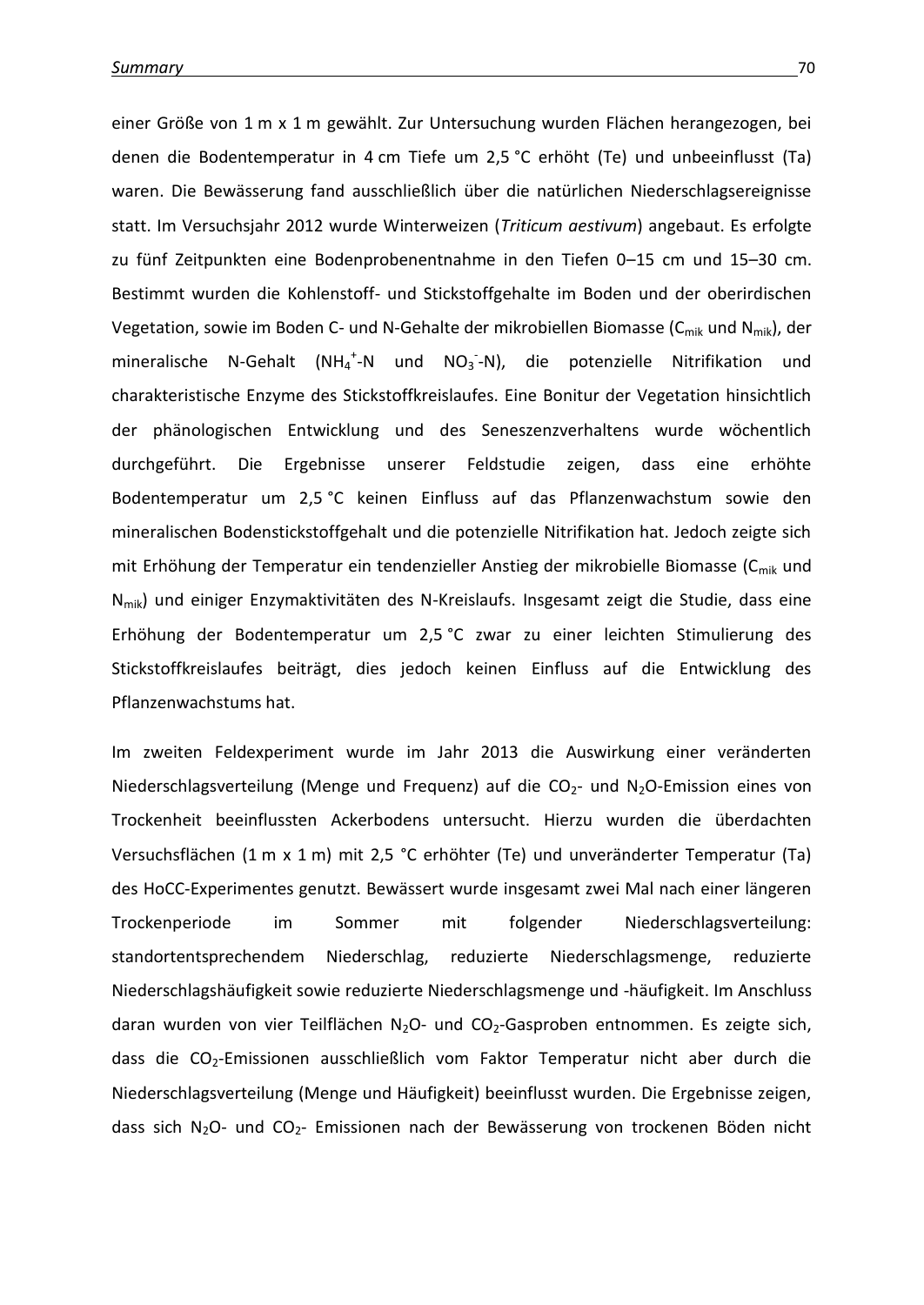einer Größe von 1 m x 1 m gewählt. Zur Untersuchung wurden Flächen herangezogen, bei denen die Bodentemperatur in 4 cm Tiefe um 2,5 °C erhöht (Te) und unbeeinflusst (Ta) waren. Die Bewässerung fand ausschließlich über die natürlichen Niederschlagsereignisse statt. Im Versuchsjahr 2012 wurde Winterweizen (*Triticum aestivum*) angebaut. Es erfolgte zu fünf Zeitpunkten eine Bodenprobenentnahme in den Tiefen 0–15 cm und 15–30 cm. Bestimmt wurden die Kohlenstoff- und Stickstoffgehalte im Boden und der oberirdischen Vegetation, sowie im Boden C- und N-Gehalte der mikrobiellen Biomasse ( $C_{mik}$  und N<sub>mik</sub>), der mineralische N-Gehalt (NH<sub>4</sub><sup>+</sup>-N und NO<sub>3</sub><sup>-</sup>-N), die potenzielle Nitrifikation und charakteristische Enzyme des Stickstoffkreislaufes. Eine Bonitur der Vegetation hinsichtlich der phänologischen Entwicklung und des Seneszenzverhaltens wurde wöchentlich durchgeführt. Die Ergebnisse unserer Feldstudie zeigen, dass eine erhöhte Bodentemperatur um 2,5 °C keinen Einfluss auf das Pflanzenwachstum sowie den mineralischen Bodenstickstoffgehalt und die potenzielle Nitrifikation hat. Jedoch zeigte sich mit Erhöhung der Temperatur ein tendenzieller Anstieg der mikrobielle Biomasse (C<sub>mik</sub> und N<sub>mik</sub>) und einiger Enzymaktivitäten des N-Kreislaufs. Insgesamt zeigt die Studie, dass eine Erhöhung der Bodentemperatur um 2,5 °C zwar zu einer leichten Stimulierung des Stickstoffkreislaufes beiträgt, dies jedoch keinen Einfluss auf die Entwicklung des Pflanzenwachstums hat.

Im zweiten Feldexperiment wurde im Jahr 2013 die Auswirkung einer veränderten Niederschlagsverteilung (Menge und Frequenz) auf die  $CO<sub>2</sub>$  und N<sub>2</sub>O-Emission eines von Trockenheit beeinflussten Ackerbodens untersucht. Hierzu wurden die überdachten Versuchsflächen (1 m x 1 m) mit 2,5 °C erhöhter (Te) und unveränderter Temperatur (Ta) des HoCC-Experimentes genutzt. Bewässert wurde insgesamt zwei Mal nach einer längeren Trockenperiode im Sommer mit folgender Niederschlagsverteilung: standortentsprechendem Niederschlag, reduzierte Niederschlagsmenge, reduzierte Niederschlagshäufigkeit sowie reduzierte Niederschlagsmenge und -häufigkeit. Im Anschluss daran wurden von vier Teilflächen N<sub>2</sub>O- und CO<sub>2</sub>-Gasproben entnommen. Es zeigte sich, dass die CO2-Emissionen ausschließlich vom Faktor Temperatur nicht aber durch die Niederschlagsverteilung (Menge und Häufigkeit) beeinflusst wurden. Die Ergebnisse zeigen, dass sich N<sub>2</sub>O- und CO<sub>2</sub>- Emissionen nach der Bewässerung von trockenen Böden nicht